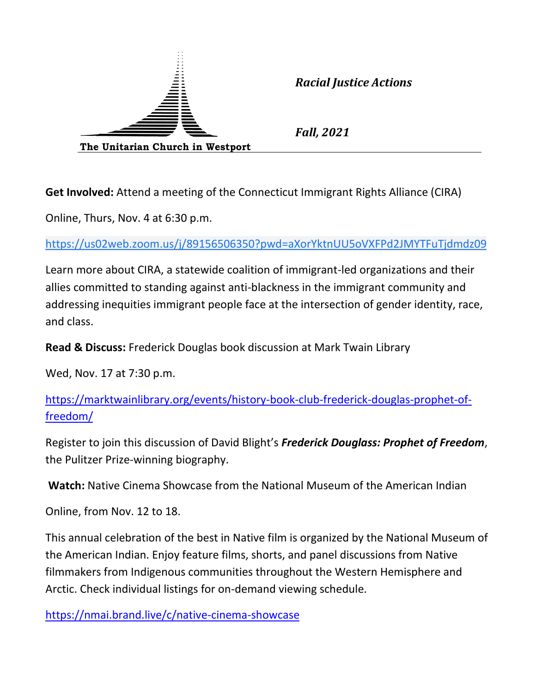

*Racial Justice Actions*

*Fall, 2021*

**Get Involved:** Attend a meeting of the Connecticut Immigrant Rights Alliance (CIRA)

Online, Thurs, Nov. 4 at 6:30 p.m.

[https://us02web.zoom.us/j/89156506350?pwd=aXorYktnUU5oVXFPd2JMYTFuTjdmdz09](https://www.google.com/url?q=https://us02web.zoom.us/j/89156506350?pwd%3DaXorYktnUU5oVXFPd2JMYTFuTjdmdz09&sa=D&source=calendar&ust=1636298032325319&usg=AOvVaw1ADCHlQOLO0AR2RLZL1w8z)

Learn more about CIRA, a statewide coalition of immigrant-led organizations and their allies committed to standing against anti-blackness in the immigrant community and addressing inequities immigrant people face at the intersection of gender identity, race, and class.

**Read & Discuss:** Frederick Douglas book discussion at Mark Twain Library

Wed, Nov. 17 at 7:30 p.m.

[https://marktwainlibrary.org/events/history-book-club-frederick-douglas-prophet-of](https://marktwainlibrary.org/events/history-book-club-frederick-douglas-prophet-of-freedom/)[freedom/](https://marktwainlibrary.org/events/history-book-club-frederick-douglas-prophet-of-freedom/)

Register to join this discussion of David Blight's *Frederick Douglass: Prophet of Freedom*, the Pulitzer Prize-winning biography.

**Watch:** Native Cinema Showcase from the National Museum of the American Indian

Online, from Nov. 12 to 18.

This annual celebration of the best in Native film is organized by the National Museum of the American Indian. Enjoy feature films, shorts, and panel discussions from Native filmmakers from Indigenous communities throughout the Western Hemisphere and Arctic. Check individual listings for on-demand viewing schedule.

<https://nmai.brand.live/c/native-cinema-showcase>